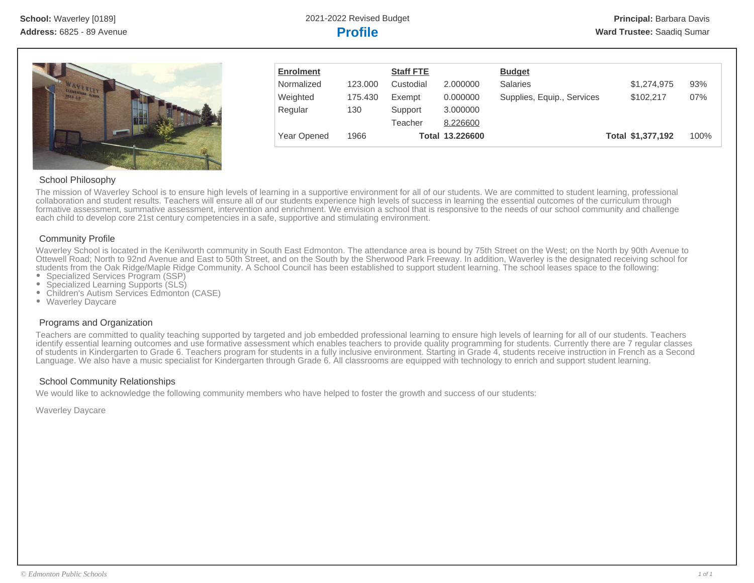

| <b>Enrolment</b> |         | <b>Staff FTE</b> |                 | <b>Budget</b>              |                   |      |
|------------------|---------|------------------|-----------------|----------------------------|-------------------|------|
| Normalized       | 123,000 | Custodial        | 2.000000        | <b>Salaries</b>            | \$1,274,975       | 93%  |
| Weighted         | 175.430 | Exempt           | 0.000000        | Supplies, Equip., Services | \$102.217         | 07%  |
| Regular          | 130     | Support          | 3.000000        |                            |                   |      |
|                  |         | Teacher          | 8.226600        |                            |                   |      |
| Year Opened      | 1966    |                  | Total 13.226600 |                            | Total \$1,377,192 | 100% |

# School Philosophy

The mission of Waverley School is to ensure high levels of learning in a supportive environment for all of our students. We are committed to student learning, professional collaboration and student results. Teachers will ensure all of our students experience high levels of success in learning the essential outcomes of the curriculum through formative assessment, summative assessment, intervention and enrichment. We envision a school that is responsive to the needs of our school community and challenge each child to develop core 21st century competencies in a safe, supportive and stimulating environment.

# Community Profile

Waverley School is located in the Kenilworth community in South East Edmonton. The attendance area is bound by 75th Street on the West; on the North by 90th Avenue to Ottewell Road; North to 92nd Avenue and East to 50th Street, and on the South by the Sherwood Park Freeway. In addition, Waverley is the designated receiving school for students from the Oak Ridge/Maple Ridge Community. A School Council has been established to support student learning. The school leases space to the following:

- Specialized Services Program (SSP)
- Specialized Learning Supports (SLS)
- Children's Autism Services Edmonton (CASE)
- Waverley Daycare

# Programs and Organization

Teachers are committed to quality teaching supported by targeted and job embedded professional learning to ensure high levels of learning for all of our students. Teachers identify essential learning outcomes and use formative assessment which enables teachers to provide quality programming for students. Currently there are 7 regular classes of students in Kindergarten to Grade 6. Teachers program for students in a fully inclusive environment. Starting in Grade 4, students receive instruction in French as a Second Language. We also have a music specialist for Kindergarten through Grade 6. All classrooms are equipped with technology to enrich and support student learning.

# School Community Relationships

We would like to acknowledge the following community members who have helped to foster the growth and success of our students:

Waverley Daycare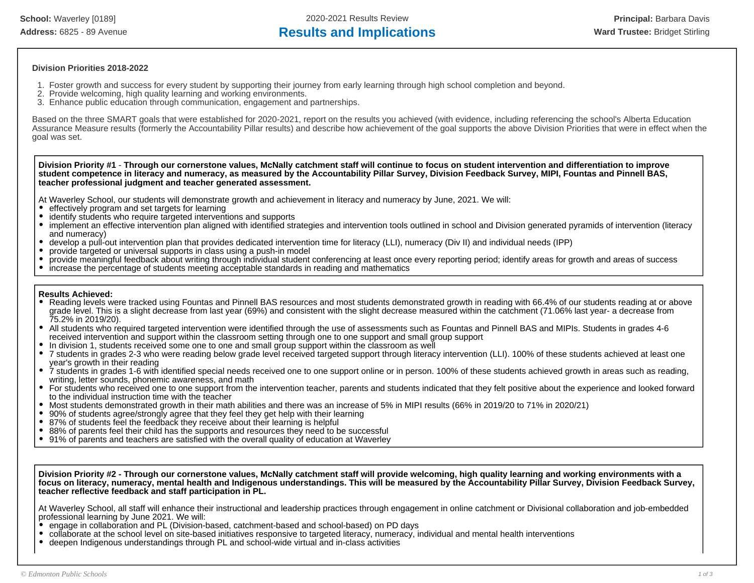**School:** Waverley [0189] 2020-2021 Results Review **Principal:** Barbara Davis Address: 6825 - 89 Avenue **Results and Implications Results and Implications Ward Trustee:** Bridget Stirling

### **Division Priorities 2018-2022**

- 1. Foster growth and success for every student by supporting their journey from early learning through high school completion and beyond.
- 2. Provide welcoming, high quality learning and working environments.
- 3. Enhance public education through communication, engagement and partnerships.

Based on the three SMART goals that were established for 2020-2021, report on the results you achieved (with evidence, including referencing the school's Alberta Education Assurance Measure results (formerly the Accountability Pillar results) and describe how achievement of the goal supports the above Division Priorities that were in effect when the goal was set.

**Division Priority #1** - **Through our cornerstone values, McNally catchment staff will continue to focus on student intervention and differentiation to improve student competence in literacy and numeracy, as measured by the Accountability Pillar Survey, Division Feedback Survey, MIPI, Fountas and Pinnell BAS, teacher professional judgment and teacher generated assessment.**

At Waverley School, our students will demonstrate growth and achievement in literacy and numeracy by June, 2021. We will:

- effectively program and set targets for learning
- identify students who require targeted interventions and supports
- implement an effective intervention plan aligned with identified strategies and intervention tools outlined in school and Division generated pyramids of intervention (literacy and numeracy)
- develop a pull-out intervention plan that provides dedicated intervention time for literacy (LLI), numeracy (Div II) and individual needs (IPP)
- provide targeted or universal supports in class using a push-in model
- provide meaningful feedback about writing through individual student conferencing at least once every reporting period; identify areas for growth and areas of success
- $\bullet$ increase the percentage of students meeting acceptable standards in reading and mathematics

### **Results Achieved:**

- Reading levels were tracked using Fountas and Pinnell BAS resources and most students demonstrated growth in reading with 66.4% of our students reading at or above grade level. This is a slight decrease from last year (69%) and consistent with the slight decrease measured within the catchment (71.06% last year- a decrease from 75.2% in 2019/20).
- All students who required targeted intervention were identified through the use of assessments such as Fountas and Pinnell BAS and MIPIs. Students in grades 4-6 received intervention and support within the classroom setting through one to one support and small group support
- In division 1, students received some one to one and small group support within the classroom as well
- 7 students in grades 2-3 who were reading below grade level received targeted support through literacy intervention (LLI). 100% of these students achieved at least one year's growth in their reading
- $\bullet$ 7 students in grades 1-6 with identified special needs received one to one support online or in person. 100% of these students achieved growth in areas such as reading, writing, letter sounds, phonemic awareness, and math
- For students who received one to one support from the intervention teacher, parents and students indicated that they felt positive about the experience and looked forward to the individual instruction time with the teacher
- Most students demonstrated growth in their math abilities and there was an increase of 5% in MIPI results (66% in 2019/20 to 71% in 2020/21)
- 90% of students agree/strongly agree that they feel they get help with their learning
- 87% of students feel the feedback they receive about their learning is helpful
- 88% of parents feel their child has the supports and resources they need to be successful
- 91% of parents and teachers are satisfied with the overall quality of education at Waverley

**Division Priority #2 - Through our cornerstone values, McNally catchment staff will provide welcoming, high quality learning and working environments with a focus on literacy, numeracy, mental health and Indigenous understandings. This will be measured by the Accountability Pillar Survey, Division Feedback Survey, teacher reflective feedback and staff participation in PL.**

At Waverley School, all staff will enhance their instructional and leadership practices through engagement in online catchment or Divisional collaboration and job-embedded professional learning by June 2021. We will:

- engage in collaboration and PL (Division-based, catchment-based and school-based) on PD days
- $\bullet$ collaborate at the school level on site-based initiatives responsive to targeted literacy, numeracy, individual and mental health interventions
- $\bullet$ deepen Indigenous understandings through PL and school-wide virtual and in-class activities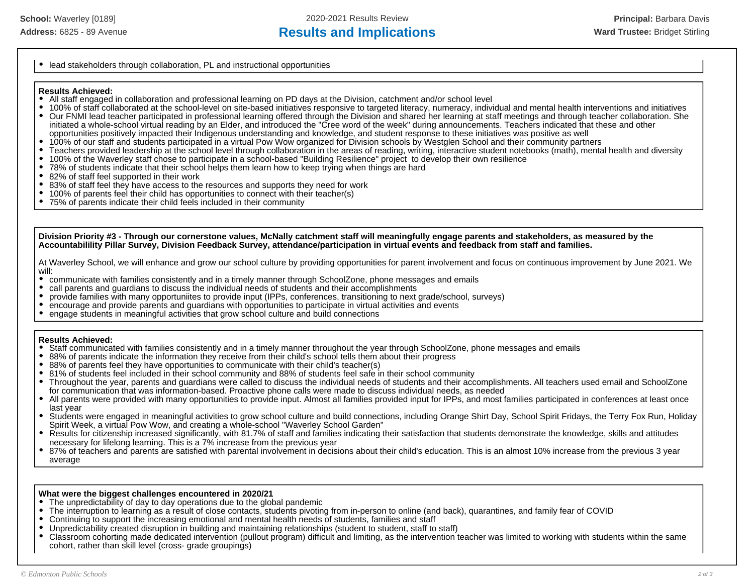• lead stakeholders through collaboration, PL and instructional opportunities

### **Results Achieved:**

- All staff engaged in collaboration and professional learning on PD days at the Division, catchment and/or school level
- 100% of staff collaborated at the school-level on site-based initiatives responsive to targeted literacy, numeracy, individual and mental health interventions and initiatives Our FNMI lead teacher participated in professional learning offered through the Division and shared her learning at staff meetings and through teacher collaboration. She  $\bullet$
- initiated a whole-school virtual reading by an Elder, and introduced the "Cree word of the week" during announcements. Teachers indicated that these and other
- opportunities positively impacted their Indigenous understanding and knowledge, and student response to these initiatives was positive as well
- 100% of our staff and students participated in a virtual Pow Wow organized for Division schools by Westglen School and their community partners  $\bullet$
- Teachers provided leadership at the school level through collaboration in the areas of reading, writing, interactive student notebooks (math), mental health and diversity  $\bullet$
- $\bullet$ 100% of the Waverley staff chose to participate in a school-based "Building Resilience" project to develop their own resilience
- 78% of students indicate that their school helps them learn how to keep trying when things are hard
- $\bullet$ 82% of staff feel supported in their work
- $\bullet$ 83% of staff feel they have access to the resources and supports they need for work
- 100% of parents feel their child has opportunities to connect with their teacher(s)  $\bullet$
- 75% of parents indicate their child feels included in their community

**Division Priority #3 - Through our cornerstone values, McNally catchment staff will meaningfully engage parents and stakeholders, as measured by the Accountabilility Pillar Survey, Division Feedback Survey, attendance/participation in virtual events and feedback from staff and families.**

At Waverley School, we will enhance and grow our school culture by providing opportunities for parent involvement and focus on continuous improvement by June 2021. We :will<br>•

- communicate with families consistently and in a timely manner through SchoolZone, phone messages and emails
- call parents and guardians to discuss the individual needs of students and their accomplishments
- provide families with many opportuniites to provide input (IPPs, conferences, transitioning to next grade/school, surveys)
- $\bullet$ encourage and provide parents and guardians with opportunities to participate in virtual activities and events
- engage students in meaningful activities that grow school culture and build connections

# **Results Achieved:**

- Staff communicated with families consistently and in a timely manner throughout the year through SchoolZone, phone messages and emails
- 88% of parents indicate the information they receive from their child's school tells them about their progress
- 88% of parents feel they have opportunities to communicate with their child's teacher(s)
- 81% of students feel included in their school community and 88% of students feel safe in their school community
- Throughout the year, parents and guardians were called to discuss the individual needs of students and their accomplishments. All teachers used email and SchoolZone for communication that was information-based. Proactive phone calls were made to discuss individual needs, as needed
- All parents were provided with many opportunities to provide input. Almost all families provided input for IPPs, and most families participated in conferences at least once last year
- Students were engaged in meaningful activities to grow school culture and build connections, including Orange Shirt Day, School Spirit Fridays, the Terry Fox Run, Holiday Spirit Week, a virtual Pow Wow, and creating a whole-school "Waverley School Garden"
- Results for citizenship increased significantly, with 81.7% of staff and families indicating their satisfaction that students demonstrate the knowledge, skills and attitudes necessary for lifelong learning. This is a 7% increase from the previous year
- 87% of teachers and parents are satisfied with parental involvement in decisions about their child's education. This is an almost 10% increase from the previous 3 year average

# **What were the biggest challenges encountered in 2020/21**

- The unpredictability of day to day operations due to the global pandemic
- The interruption to learning as a result of close contacts, students pivoting from in-person to online (and back), quarantines, and family fear of COVID
- $\bullet$ Continuing to support the increasing emotional and mental health needs of students, families and staff
- Unpredictability created disruption in building and maintaining relationships (student to student, staff to staff)
- $\bullet$ Classroom cohorting made dedicated intervention (pullout program) difficult and limiting, as the intervention teacher was limited to working with students within the same cohort, rather than skill level (cross- grade groupings)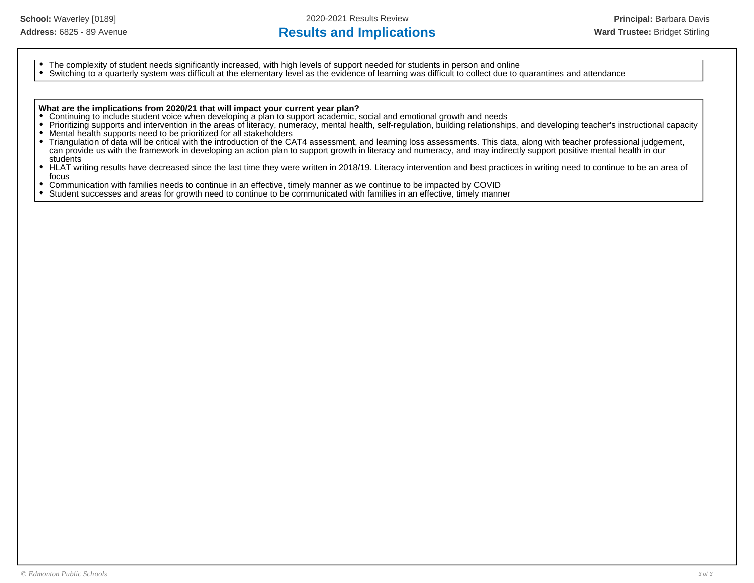# Address: 6825 - 89 Avenue **Results and Implications Results and Implications Ward Trustee:** Bridget Stirling

- The complexity of student needs significantly increased, with high levels of support needed for students in person and online
- $\bullet$ Switching to a quarterly system was difficult at the elementary level as the evidence of learning was difficult to collect due to quarantines and attendance

### **What are the implications from 2020/21 that will impact your current year plan?**

- Continuing to include student voice when developing a plan to support academic, social and emotional growth and needs
- $\bullet$ Prioritizing supports and intervention in the areas of literacy, numeracy, mental health, self-regulation, building relationships, and developing teacher's instructional capacity
- $\bullet$ Mental health supports need to be prioritized for all stakeholders
- Triangulation of data will be critical with the introduction of the CAT4 assessment, and learning loss assessments. This data, along with teacher professional judgement,  $\bullet$ can provide us with the framework in developing an action plan to support growth in literacy and numeracy, and may indirectly support positive mental health in our students
- $\bullet$ HLAT writing results have decreased since the last time they were written in 2018/19. Literacy intervention and best practices in writing need to continue to be an area of focus
- $\bullet$ Communication with families needs to continue in an effective, timely manner as we continue to be impacted by COVID
- $\bullet$ Student successes and areas for growth need to continue to be communicated with families in an effective, timely manner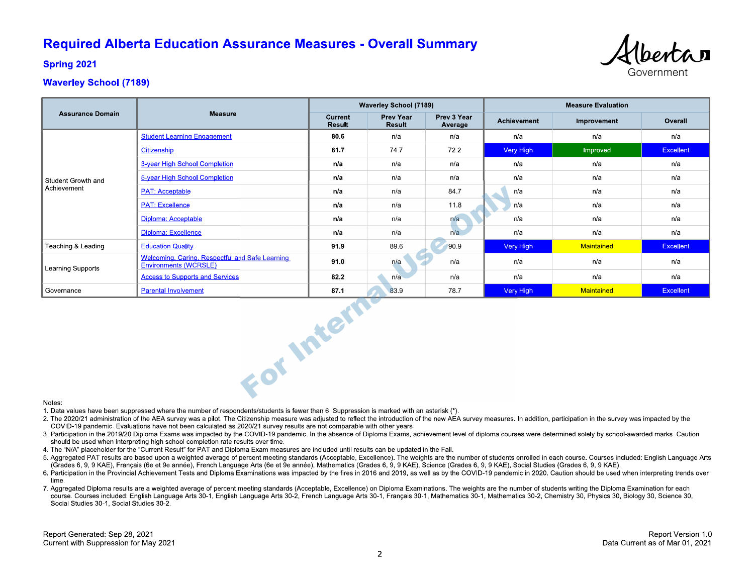# **Required Alberta Education Assurance Measures - Overall Summary**



**Spring 2021** 

# **Waverley School (7189)**

| <b>Assurance Domain</b> |                                                                                 | <b>Waverley School (7189)</b> |                            |                        | <b>Measure Evaluation</b> |             |                  |  |  |
|-------------------------|---------------------------------------------------------------------------------|-------------------------------|----------------------------|------------------------|---------------------------|-------------|------------------|--|--|
|                         | <b>Measure</b>                                                                  | Current<br>Result             | <b>Prev Year</b><br>Result | Prev 3 Year<br>Average | <b>Achievement</b>        | Improvement | Overall          |  |  |
|                         | <b>Student Learning Engagement</b>                                              | 80.6                          | n/a                        | n/a                    | n/a                       | n/a         | n/a              |  |  |
|                         | Citizenship                                                                     | 81.7                          | 747                        | 72.2                   | Very High                 | Improved    | <b>Excellent</b> |  |  |
|                         | 3-year High School Completion                                                   | n/a                           | n/a                        | n/a                    | n/a                       | n/a         | n/a              |  |  |
| Student Growth and      | 5-year High School Completion                                                   | n/a                           | n/a                        | n/a                    | n/a                       | n/a         | n/a              |  |  |
| Achievement             | <b>PAT: Acceptable</b>                                                          | n/a                           | n/a                        | 84.7                   | n/a                       | n/a         | n/a              |  |  |
|                         | <b>PAT: Excellence</b>                                                          | n/a                           | n/a                        | 11.8                   | n/a                       | n/a         | n/a              |  |  |
|                         | Diploma: Acceptable                                                             | n/a                           | n/a                        | n/a                    | n/a                       | n/a         | n/a              |  |  |
|                         | Diploma: Excellence                                                             | n/a                           | n/a                        | n/a                    | n/a                       | n/a         | n/a              |  |  |
| Teaching & Leading      | <b>Education Quality</b>                                                        | 91.9                          | 89.6                       | 90.9                   | Very High                 | Maintained  | <b>Excellent</b> |  |  |
| Learning Supports       | Welcoming, Caring, Respectful and Safe Learning<br><b>Environments (WCRSLE)</b> | 91.0                          | n/a                        | n/a                    | n/a                       | n/a         | n/a              |  |  |
|                         | <b>Access to Supports and Services</b>                                          | 82.2                          | n/a                        | n/a                    | n/a                       | n/a         | n/a              |  |  |
| Governance              | <b>Parental Involvement</b>                                                     | 87.1                          | 83.9                       | 78.7                   | Very High                 | Maintained  | <b>Excellent</b> |  |  |
| For Intern<br>Notes:    |                                                                                 |                               |                            |                        |                           |             |                  |  |  |

#### Notes:

1. Data values have been suppressed where the number of respondents/students is fewer than 6. Suppression is marked with an asterisk (\*).

- 2. The 2020/21 administration of the AEA survey was a pilot. The Citizenship measure was adjusted to reflect the introduction of the new AEA survey measures. In addition, participation in the survey was impacted by the COVID-19 pandemic. Evaluations have not been calculated as 2020/21 survey results are not comparable with other years.
- 3. Participation in the 2019/20 Diploma Exams was impacted by the COVID-19 pandemic. In the absence of Diploma Exams, achievement level of diploma courses were determined solely by school-awarded marks. Caution should be used when interpreting high school completion rate results over time.
- 4. The "N/A" placeholder for the "Current Result" for PAT and Diploma Exam measures are included until results can be updated in the Fall.
- 5. Aggregated PAT results are based upon a weighted average of percent meeting standards (Acceptable, Excellence). The weights are the number of students enrolled in each course. Courses included: English Language Arts (Grades 6, 9, 9 KAE), Français (6e et 9e année), French Language Arts (6e et 9e année), Mathematics (Grades 6, 9, 9 KAE), Science (Grades 6, 9, 9 KAE), Social Studies (Grades 6, 9, 9 KAE).
- 6. Participation in the Provincial Achievement Tests and Diploma Examinations was impacted by the fires in 2016 and 2019, as well as by the COVID-19 pandemic in 2020. Caution should be used when interpreting trends over time
- 7. Aggregated Diploma results are a weighted average of percent meeting standards (Acceptable, Excellence) on Diploma Examinations. The weights are the number of students writing the Diploma Examination for each course. Courses included: English Language Arts 30-1, English Language Arts 30-2, French Language Arts 30-1, Français 30-1, Mathematics 30-1, Mathematics 30-2, Chemistry 30, Physics 30, Biology 30, Science 30, Social Studies 30-1, Social Studies 30-2.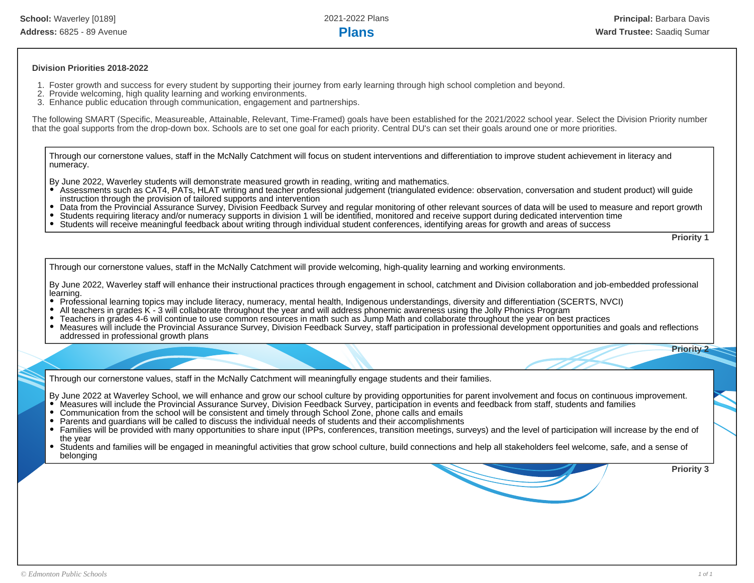### **Division Priorities 2018-2022**

- 1. Foster growth and success for every student by supporting their journey from early learning through high school completion and beyond.
- 2. Provide welcoming, high quality learning and working environments.
- 3. Enhance public education through communication, engagement and partnerships.

The following SMART (Specific, Measureable, Attainable, Relevant, Time-Framed) goals have been established for the 2021/2022 school year. Select the Division Priority number that the goal supports from the drop-down box. Schools are to set one goal for each priority. Central DU's can set their goals around one or more priorities.

Through our cornerstone values, staff in the McNally Catchment will focus on student interventions and differentiation to improve student achievement in literacy and numeracy.

By June 2022, Waverley students will demonstrate measured growth in reading, writing and mathematics.

- Assessments such as CAT4, PATs, HLAT writing and teacher professional judgement (triangulated evidence: observation, conversation and student product) will guide instruction through the provision of tailored supports and intervention
- Data from the Provincial Assurance Survey, Division Feedback Survey and regular monitoring of other relevant sources of data will be used to measure and report growth
- Students requiring literacy and/or numeracy supports in division 1 will be identified, monitored and receive support during dedicated intervention time
- Students will receive meaningful feedback about writing through individual student conferences, identifying areas for growth and areas of success

**Priority 1**

**Priority 2**

Through our cornerstone values, staff in the McNally Catchment will provide welcoming, high-quality learning and working environments.

By June 2022, Waverley staff will enhance their instructional practices through engagement in school, catchment and Division collaboration and job-embedded professional learning.

- Professional learning topics may include literacy, numeracy, mental health, Indigenous understandings, diversity and differentiation (SCERTS, NVCI)
- All teachers in grades K 3 will collaborate throughout the year and will address phonemic awareness using the Jolly Phonics Program
- Teachers in grades 4-6 will continue to use common resources in math such as Jump Math and collaborate throughout the year on best practices
- Measures will include the Provincial Assurance Survey, Division Feedback Survey, staff participation in professional development opportunities and goals and reflections addressed in professional growth plans

Through our cornerstone values, staff in the McNally Catchment will meaningfully engage students and their families.

By June 2022 at Waverley School, we will enhance and grow our school culture by providing opportunities for parent involvement and focus on continuous improvement.

- Measures will include the Provincial Assurance Survey, Division Feedback Survey, participation in events and feedback from staff, students and families
- Communication from the school will be consistent and timely through School Zone, phone calls and emails
- Parents and guardians will be called to discuss the individual needs of students and their accomplishments
- Families will be provided with many opportunities to share input (IPPs, conferences, transition meetings, surveys) and the level of participation will increase by the end of the year
- Students and families will be engaged in meaningful activities that grow school culture, build connections and help all stakeholders feel welcome, safe, and a sense of belonging

**Priority 3**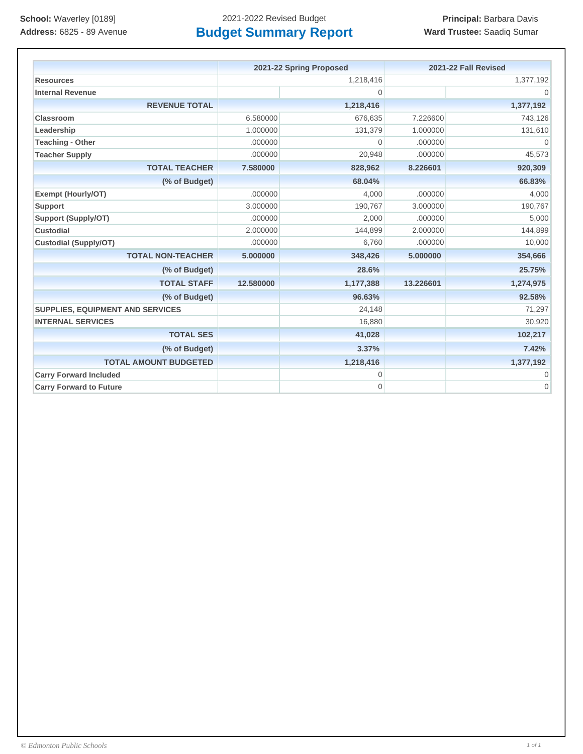|                                         | 2021-22 Spring Proposed |                | 2021-22 Fall Revised |                |
|-----------------------------------------|-------------------------|----------------|----------------------|----------------|
| <b>Resources</b>                        | 1,218,416               |                | 1,377,192            |                |
| <b>Internal Revenue</b>                 |                         | $\overline{0}$ |                      | $\Omega$       |
| <b>REVENUE TOTAL</b>                    |                         | 1,218,416      |                      | 1,377,192      |
| Classroom                               | 6.580000                | 676,635        | 7.226600             | 743,126        |
| Leadership                              | 1.000000                | 131,379        | 1.000000             | 131,610        |
| <b>Teaching - Other</b>                 | .000000                 | $\mathbf 0$    | .000000              | $\Omega$       |
| <b>Teacher Supply</b>                   | .000000                 | 20,948         | .000000              | 45,573         |
| <b>TOTAL TEACHER</b>                    | 7.580000                | 828,962        | 8.226601             | 920,309        |
| (% of Budget)                           |                         | 68.04%         |                      | 66.83%         |
| <b>Exempt (Hourly/OT)</b>               | .000000                 | 4,000          | .000000              | 4,000          |
| <b>Support</b>                          | 3.000000                | 190,767        | 3.000000             | 190,767        |
| Support (Supply/OT)                     | .000000                 | 2,000          | .000000              | 5,000          |
| <b>Custodial</b>                        | 2.000000                | 144,899        | 2.000000             | 144,899        |
| <b>Custodial (Supply/OT)</b>            | .000000                 | 6,760          | .000000              | 10,000         |
| <b>TOTAL NON-TEACHER</b>                | 5.000000                | 348,426        | 5.000000             | 354,666        |
| (% of Budget)                           |                         | 28.6%          |                      | 25.75%         |
| <b>TOTAL STAFF</b>                      | 12.580000               | 1,177,388      | 13.226601            | 1,274,975      |
| (% of Budget)                           |                         | 96.63%         |                      | 92.58%         |
| <b>SUPPLIES, EQUIPMENT AND SERVICES</b> |                         | 24,148         |                      | 71,297         |
| <b>INTERNAL SERVICES</b>                |                         | 16,880         |                      | 30,920         |
| <b>TOTAL SES</b>                        |                         | 41,028         |                      | 102,217        |
| (% of Budget)                           |                         | 3.37%          |                      | 7.42%          |
| <b>TOTAL AMOUNT BUDGETED</b>            |                         | 1,218,416      |                      | 1,377,192      |
| <b>Carry Forward Included</b>           |                         | $\mathbf 0$    |                      | 0              |
| <b>Carry Forward to Future</b>          |                         | 0              |                      | $\overline{0}$ |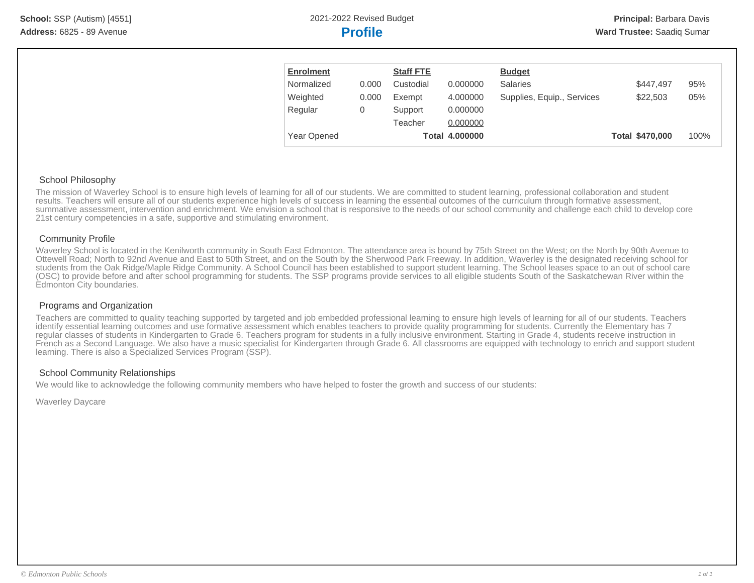| <b>Enrolment</b> |       | <b>Staff FTE</b> |                       | <b>Budget</b>              |                 |      |
|------------------|-------|------------------|-----------------------|----------------------------|-----------------|------|
| Normalized       | 0.000 | Custodial        | 0.000000              | Salaries                   | \$447.497       | 95%  |
| Weighted         | 0.000 | Exempt           | 4.000000              | Supplies, Equip., Services | \$22,503        | 05%  |
| Regular          | 0     | Support          | 0.000000              |                            |                 |      |
|                  |       | Teacher          | 0.000000              |                            |                 |      |
| Year Opened      |       |                  | <b>Total 4.000000</b> |                            | Total \$470,000 | 100% |

## School Philosophy

The mission of Waverley School is to ensure high levels of learning for all of our students. We are committed to student learning, professional collaboration and student results. Teachers will ensure all of our students experience high levels of success in learning the essential outcomes of the curriculum through formative assessment, summative assessment, intervention and enrichment. We envision a school that is responsive to the needs of our school community and challenge each child to develop core 21st century competencies in a safe, supportive and stimulating environment.

# Community Profile

Waverley School is located in the Kenilworth community in South East Edmonton. The attendance area is bound by 75th Street on the West; on the North by 90th Avenue to Ottewell Road; North to 92nd Avenue and East to 50th Street, and on the South by the Sherwood Park Freeway. In addition, Waverley is the designated receiving school for students from the Oak Ridge/Maple Ridge Community. A School Council has been established to support student learning. The School leases space to an out of school care (OSC) to provide before and after school programming for students. The SSP programs provide services to all eligible students South of the Saskatchewan River within the Edmonton City boundaries.

# Programs and Organization

Teachers are committed to quality teaching supported by targeted and job embedded professional learning to ensure high levels of learning for all of our students. Teachers identify essential learning outcomes and use formative assessment which enables teachers to provide quality programming for students. Currently the Elementary has 7 regular classes of students in Kindergarten to Grade 6. Teachers program for students in a fully inclusive environment. Starting in Grade 4, students receive instruction in French as a Second Language. We also have a music specialist for Kindergarten through Grade 6. All classrooms are equipped with technology to enrich and support student learning. There is also a Specialized Services Program (SSP).

# School Community Relationships

We would like to acknowledge the following community members who have helped to foster the growth and success of our students:

Waverley Daycare